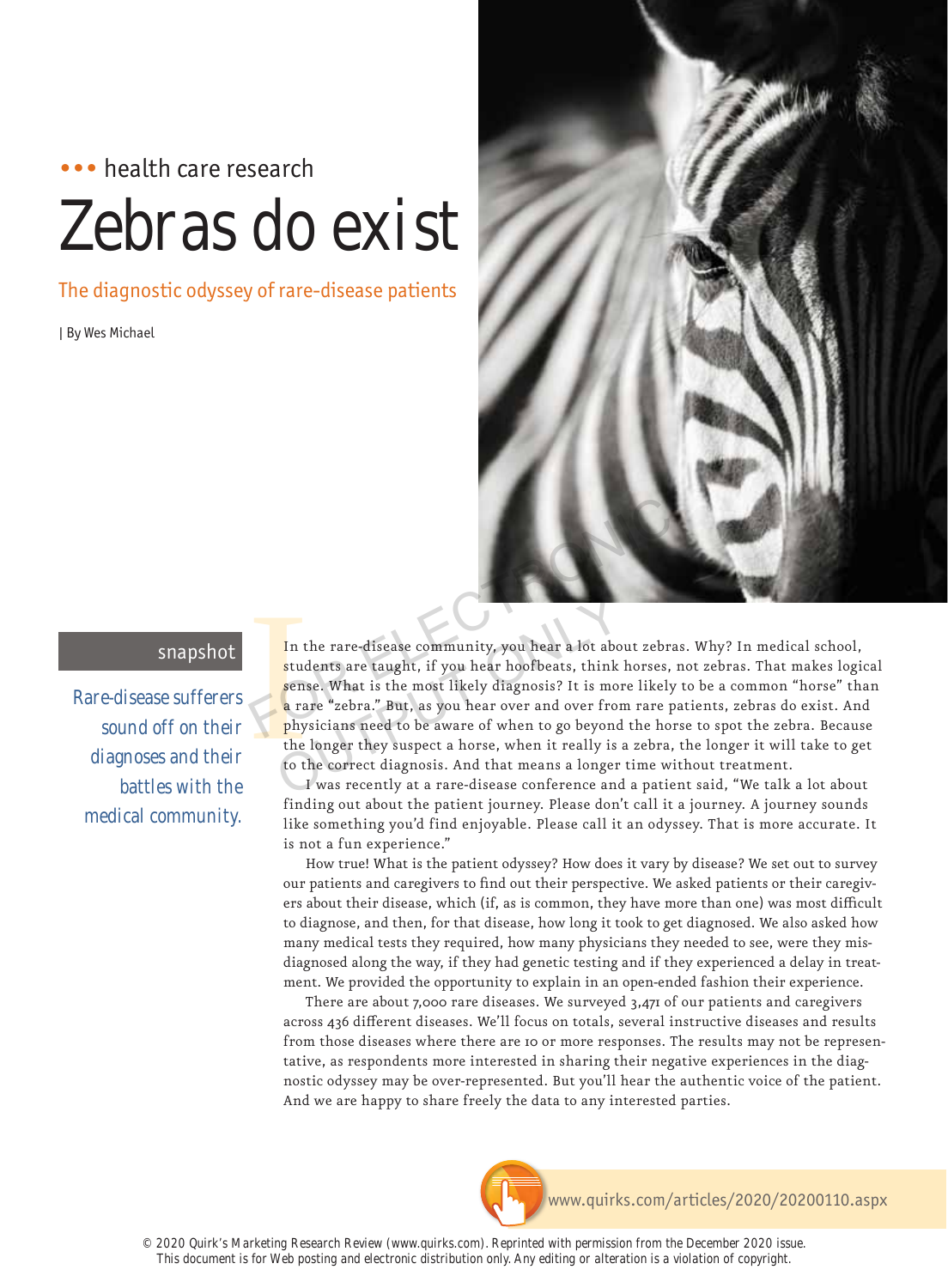# ••• health care research Zebras do exist

The diagnostic odyssey of rare-disease patients

| By Wes Michael



# snapshot

Rare-disease sufferers sound off on their diagnoses and their battles with the medical community.

In the students are not a range of the total distribution of the total property of the total property of the total property of the total property of the total property of the total property of the total property of the tot In the rare-disease community, you hear a lot about zebras. Why? In medical school, students are taught, if you hear hoofbeats, think horses, not zebras. That makes logical sense. What is the most likely diagnosis? It is more likely to be a common "horse" than a rare "zebra." But, as you hear over and over from rare patients, zebras do exist. And physicians need to be aware of when to go beyond the horse to spot the zebra. Because the longer they suspect a horse, when it really is a zebra, the longer it will take to get to the correct diagnosis. And that means a longer time without treatment. In the rare-disease community, you hear a lot about zebras.<br>
students are taught, if you hear hoofbeats, think horses, no<br>
sense. What is the most likely diagnosis? It is more likely to<br>
a rare "zebra." But, as you hear ov In the rare-disease community, you hear a lot abo<br>students are taught, if you hear hoofbeats, think<br>sense. What is the most likely diagnosis? It is more<br>a rare "zebra." But, as you hear over and over fror<br>physicians need t

I was recently at a rare-disease conference and a patient said, "We talk a lot about finding out about the patient journey. Please don't call it a journey. A journey sounds like something you'd find enjoyable. Please call it an odyssey. That is more accurate. It is not a fun experience."

How true! What is the patient odyssey? How does it vary by disease? We set out to survey our patients and caregivers to find out their perspective. We asked patients or their caregivers about their disease, which (if, as is common, they have more than one) was most difficult to diagnose, and then, for that disease, how long it took to get diagnosed. We also asked how many medical tests they required, how many physicians they needed to see, were they misdiagnosed along the way, if they had genetic testing and if they experienced a delay in treatment. We provided the opportunity to explain in an open-ended fashion their experience.

There are about 7,000 rare diseases. We surveyed 3,471 of our patients and caregivers across 436 different diseases. We'll focus on totals, several instructive diseases and results from those diseases where there are 10 or more responses. The results may not be representative, as respondents more interested in sharing their negative experiences in the diagnostic odyssey may be over-represented. But you'll hear the authentic voice of the patient. And we are happy to share freely the data to any interested parties.

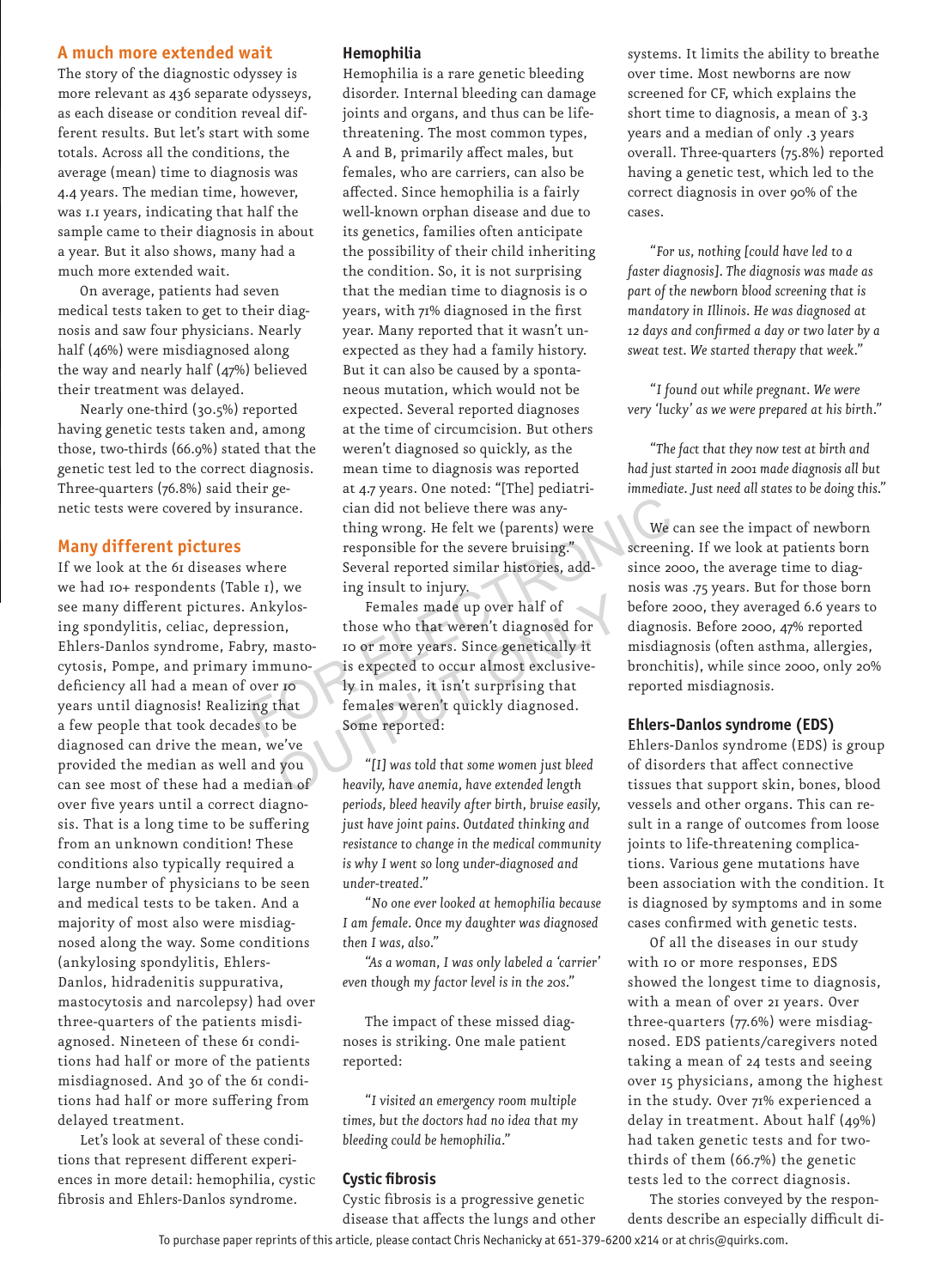# **A much more extended wait**

The story of the diagnostic odyssey is more relevant as 436 separate odysseys, as each disease or condition reveal different results. But let's start with some totals. Across all the conditions, the average (mean) time to diagnosis was 4.4 years. The median time, however, was 1.1 years, indicating that half the sample came to their diagnosis in about a year. But it also shows, many had a much more extended wait.

On average, patients had seven medical tests taken to get to their diagnosis and saw four physicians. Nearly half (46%) were misdiagnosed along the way and nearly half (47%) believed their treatment was delayed.

Nearly one-third (30.5%) reported having genetic tests taken and, among those, two-thirds (66.9%) stated that the genetic test led to the correct diagnosis. Three-quarters (76.8%) said their genetic tests were covered by insurance.

# **Many different pictures**

If we look at the 61 diseases where we had 10+ respondents (Table 1), we see many different pictures. Ankylosing spondylitis, celiac, depression, Ehlers-Danlos syndrome, Fabry, mastocytosis, Pompe, and primary immunodeficiency all had a mean of over 10 years until diagnosis! Realizing that a few people that took decades to be diagnosed can drive the mean, we've provided the median as well and you can see most of these had a median of over five years until a correct diagnosis. That is a long time to be suffering from an unknown condition! These conditions also typically required a large number of physicians to be seen and medical tests to be taken. And a majority of most also were misdiagnosed along the way. Some conditions (ankylosing spondylitis, Ehlers-Danlos, hidradenitis suppurativa, mastocytosis and narcolepsy) had over three-quarters of the patients misdiagnosed. Nineteen of these 61 conditions had half or more of the patients misdiagnosed. And 30 of the 61 conditions had half or more suffering from delayed treatment.

Let's look at several of these conditions that represent different experiences in more detail: hemophilia, cystic fibrosis and Ehlers-Danlos syndrome.

## **Hemophilia**

Hemophilia is a rare genetic bleeding disorder. Internal bleeding can damage joints and organs, and thus can be lifethreatening. The most common types, A and B, primarily affect males, but females, who are carriers, can also be affected. Since hemophilia is a fairly well-known orphan disease and due to its genetics, families often anticipate the possibility of their child inheriting the condition. So, it is not surprising that the median time to diagnosis is 0 years, with 71% diagnosed in the first year. Many reported that it wasn't unexpected as they had a family history. But it can also be caused by a spontaneous mutation, which would not be expected. Several reported diagnoses at the time of circumcision. But others weren't diagnosed so quickly, as the mean time to diagnosis was reported at 4.7 years. One noted: "[The] pediatrician did not believe there was anything wrong. He felt we (parents) were responsible for the severe bruising." Several reported similar histories, adding insult to injury.

Females made up over half of those who that weren't diagnosed for 10 or more years. Since genetically it is expected to occur almost exclusively in males, it isn't surprising that females weren't quickly diagnosed. Some reported: surance. cian did not believe there was any-<br>thing wrong. He felt we (parents) were We can<br>responsible for the severe bruising." screening<br>where Several reported similar histories, addinate a since 2006<br>le 1), we ing insul Xylos-<br>
Those who that weren't diagnosed for<br>
masto-<br>
to or more years. Since genetically it<br>
nuno-<br>
is expected to occur almost exclusive-<br>
r ro<br>
ly in males, it isn't surprising that<br>
that<br>
females weren't quickly diagno

*"[I] was told that some women just bleed heavily, have anemia, have extended length periods, bleed heavily after birth, bruise easily, just have joint pains. Outdated thinking and resistance to change in the medical community is why I went so long under-diagnosed and under-treated."*

*"No one ever looked at hemophilia because I am female. Once my daughter was diagnosed then I was, also."*

*"As a woman, I was only labeled a 'carrier' even though my factor level is in the 20s."*

The impact of these missed diagnoses is striking. One male patient reported:

*"I visited an emergency room multiple times, but the doctors had no idea that my bleeding could be hemophilia."*

## **Cystic fi brosis**

Cystic fibrosis is a progressive genetic disease that affects the lungs and other systems. It limits the ability to breathe over time. Most newborns are now screened for CF, which explains the short time to diagnosis, a mean of 3.3 years and a median of only .3 years overall. Three-quarters (75.8%) reported having a genetic test, which led to the correct diagnosis in over 90% of the cases.

*"For us, nothing [could have led to a faster diagnosis]. The diagnosis was made as part of the newborn blood screening that is mandatory in Illinois. He was diagnosed at 12 days and confi rmed a day or two later by a sweat test. We started therapy that week."*

*"I found out while pregnant. We were very 'lucky' as we were prepared at his birth."*

*"The fact that they now test at birth and had just started in 2001 made diagnosis all but immediate. Just need all states to be doing this."*

We can see the impact of newborn screening. If we look at patients born since 2000, the average time to diagnosis was .75 years. But for those born before 2000, they averaged 6.6 years to diagnosis. Before 2000, 47% reported misdiagnosis (often asthma, allergies, bronchitis), while since 2000, only 20% reported misdiagnosis.

#### **Ehlers-Danlos syndrome (EDS)**

Ehlers-Danlos syndrome (EDS) is group of disorders that affect connective tissues that support skin, bones, blood vessels and other organs. This can result in a range of outcomes from loose joints to life-threatening complications. Various gene mutations have been association with the condition. It is diagnosed by symptoms and in some cases confirmed with genetic tests.

Of all the diseases in our study with 10 or more responses, EDS showed the longest time to diagnosis, with a mean of over 21 years. Over three-quarters (77.6%) were misdiagnosed. EDS patients/caregivers noted taking a mean of 24 tests and seeing over 15 physicians, among the highest in the study. Over 71% experienced a delay in treatment. About half (49%) had taken genetic tests and for twothirds of them (66.7%) the genetic tests led to the correct diagnosis.

To purchase paper reprints of this article, please contact Chris Nechanicky at 651-379-6200 x214 or at chris@quirks.com. The stories conveyed by the respondents describe an especially difficult di-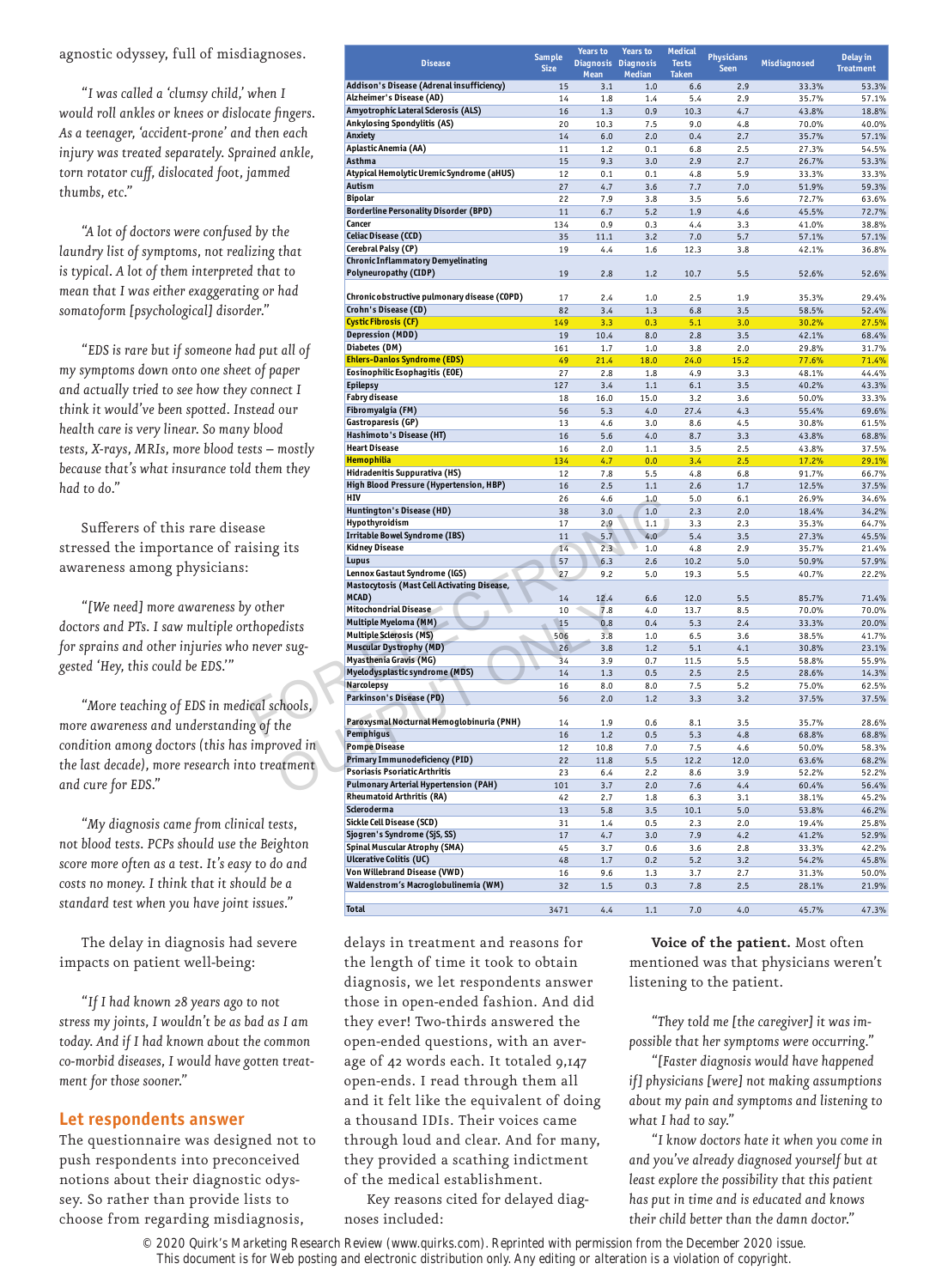#### agnostic odyssey, full of misdiagnoses.

*"I was called a 'clumsy child,' when I would roll ankles or knees or dislocate fi ngers. As a teenager, 'accident-prone' and then each injury was treated separately. Sprained ankle,*  torn rotator cuff, dislocated foot, jammed *thumbs, etc."*

*"A lot of doctors were confused by the laundry list of symptoms, not realizing that is typical. A lot of them interpreted that to mean that I was either exaggerating or had somatoform [psychological] disorder."*

*"EDS is rare but if someone had put all of my symptoms down onto one sheet of paper and actually tried to see how they connect I think it would've been spotted. Instead our health care is very linear. So many blood tests, X-rays, MRIs, more blood tests – mostly because that's what insurance told them they had to do."*

Sufferers of this rare disease stressed the importance of raising its awareness among physicians:

*"[We need] more awareness by other doctors and PTs. I saw multiple orthopedists for sprains and other injuries who never suggested 'Hey, this could be EDS.'"*

*"More teaching of EDS in medical schools, more awareness and understanding of the condition among doctors (this has improved in the last decade), more research into treatment and cure for EDS."*

*"My diagnosis came from clinical tests, not blood tests. PCPs should use the Beighton score more often as a test. It's easy to do and costs no money. I think that it should be a standard test when you have joint issues."*

The delay in diagnosis had severe impacts on patient well-being:

*"If I had known 28 years ago to not stress my joints, I wouldn't be as bad as I am today. And if I had known about the common co-morbid diseases, I would have gotten treatment for those sooner."*

#### **Let respondents answer**

The questionnaire was designed not to push respondents into preconceived notions about their diagnostic odyssey. So rather than provide lists to choose from regarding misdiagnosis,

| iagnoses.              |                                                                              | <b>Sample</b> | Years to     | Years to                             | Medical                      | <b>Physicians</b>           |                  | Delay in       |
|------------------------|------------------------------------------------------------------------------|---------------|--------------|--------------------------------------|------------------------------|-----------------------------|------------------|----------------|
|                        | <b>Disease</b>                                                               | <b>Size</b>   | Mean         | Diagnosis Diagnosis<br><b>Median</b> | <b>Tests</b><br><b>Taken</b> | Misdiagnosed<br><b>Seen</b> | <b>Treatment</b> |                |
|                        | Addison's Disease (Adrenal insufficiency)                                    | 15            | 3.1          | 1.0                                  | 6.6                          | 2.9                         | 33.3%            | 53.3%          |
| when I                 | Alzheimer's Disease (AD)                                                     | 14            | 1.8          | 1.4                                  | 5.4                          | 2.9                         | 35.7%            | 57.1%          |
| cate fingers.          | Amyotrophic Lateral Sclerosis (ALS)                                          | 16            | 1.3          | 0.9                                  | 10.3                         | 4.7                         | 43.8%            | 18.8%          |
| l then each            | Ankylosing Spondylitis (AS)                                                  | 20            | 10.3         | 7.5                                  | 9.0                          | 4.8                         | 70.0%            | 40.0%          |
|                        | Anxiety<br>Aplastic Anemia (AA)                                              | 14<br>11      | $6.0$<br>1.2 | 2.0<br>0.1                           | 0.4<br>6.8                   | 2.7<br>2.5                  | 35.7%<br>27.3%   | 57.1%<br>54.5% |
| ained ankle.           | Asthma                                                                       | 15            | 9.3          | 3.0                                  | 2.9                          | 2.7                         | 26.7%            | 53.3%          |
| iammed                 | Atypical Hemolytic Uremic Syndrome (aHUS)                                    | 12            | 0.1          | 0.1                                  | 4.8                          | 5.9                         | 33.3%            | 33.3%          |
|                        | <b>Autism</b>                                                                | 27            | 4.7          | 3.6                                  | 7.7                          | 7.0                         | 51.9%            | 59.3%          |
|                        | <b>Bipolar</b>                                                               | 22            | 7.9          | 3.8                                  | 3.5                          | 5.6                         | 72.7%            | 63.6%          |
|                        | <b>Borderline Personality Disorder (BPD)</b>                                 | 11            | 6.7          | 5.2                                  | 1.9                          | 4.6                         | 45.5%            | 72.7%          |
| d by the               | Cancer<br><b>Celiac Disease (CCD)</b>                                        | 134<br>35     | 0.9<br>11.1  | 0.3<br>3.2                           | 4.4<br>7.0                   | 3.3<br>5.7                  | 41.0%<br>57.1%   | 38.8%<br>57.1% |
|                        | Cerebral Palsy (CP)                                                          | 19            | 4.4          | 1.6                                  | 12.3                         | 3.8                         | 42.1%            | 36.8%          |
| izing that             | <b>Chronic Inflammatory Demyelinating</b>                                    |               |              |                                      |                              |                             |                  |                |
| d that to              | Polyneuropathy (CIDP)                                                        | 19            | 2.8          | 1.2                                  | 10.7                         | 5.5                         | 52.6%            | 52.6%          |
| ng or had              |                                                                              |               |              |                                      |                              |                             |                  |                |
|                        | Chronic obstructive pulmonary disease (COPD)<br>Crohn's Disease (CD)         | 17            | 2.4          | 1.0                                  | 2.5                          | 1.9                         | 35.3%            | 29.4%          |
| ler."                  | Cystic Fibrosis (CF)                                                         | 82<br>149     | 3.4<br>3.3   | 1.3<br>0.3                           | 6.8<br>5.1                   | 3.5<br>3.0                  | 58.5%<br>30.2%   | 52.4%<br>27.5% |
|                        | <b>Depression (MDD)</b>                                                      | 19            | 10.4         | 8.0                                  | 2.8                          | 3.5                         | 42.1%            | 68.4%          |
| d put all of           | Diabetes (DM)                                                                | 161           | 1.7          | 1.0                                  | 3.8                          | 2.0                         | 29.8%            | 31.7%          |
|                        | <b>Ehlers-Danlos Syndrome (EDS)</b>                                          | 49            | 21.4         | 18.0                                 | 24.0                         | 15.2                        | 77.6%            | 71.4%          |
| t of paper             | Eosinophilic Esophagitis (EOE)                                               | 27            | 2.8          | 1.8                                  | 4.9                          | 3.3                         | 48.1%            | 44.4%          |
| connect I              | <b>Epilepsy</b>                                                              | 127           | 3.4          | 1.1                                  | 6.1                          | 3.5                         | 40.2%            | 43.3%          |
| stead our              | <b>Fabry disease</b><br>Fibromyalgia (FM)                                    | 18<br>56      | 16.0<br>5.3  | 15.0<br>4.0                          | 3.2<br>27.4                  | 3.6<br>4.3                  | 50.0%<br>55.4%   | 33.3%<br>69.6% |
|                        | Gastroparesis (GP)                                                           | 13            | 4.6          | 3.0                                  | 8.6                          | 4.5                         | 30.8%            | 61.5%          |
| <sup>,</sup> blood     | Hashimoto's Disease (HT)                                                     | 16            | 5.6          | 4.0                                  | 8.7                          | 3.3                         | 43.8%            | 68.8%          |
| sts — mostly           | <b>Heart Disease</b>                                                         | 16            | 2.0          | 1.1                                  | 3.5                          | 2.5                         | 43.8%            | 37.5%          |
|                        | <b>Hemophilia</b>                                                            | 134           | 4.7          | 0.0                                  | 3.4                          | 2.5                         | 17.2%            | 29.1%          |
| l them they            | Hidradenitis Suppurativa (HS)                                                | 12            | 7.8          | 5.5                                  | 4.8                          | 6.8                         | 91.7%            | 66.7%          |
|                        | High Blood Pressure (Hypertension, HBP)<br>HIV                               | 16            | 2.5          | 1.1                                  | 2.6                          | 1.7                         | 12.5%            | 37.5%          |
|                        | Huntington's Disease (HD)                                                    | 26<br>38      | 4.6<br>3.0   | 1.0<br>1.0                           | 5.0<br>2.3                   | 6.1<br>2.0                  | 26.9%<br>18.4%   | 34.6%<br>34.2% |
|                        | Hypothyroidism                                                               | 17            | 2.9          | 1.1                                  | 3.3                          | 2.3                         | 35.3%            | 64.7%          |
| ase                    | <b>Irritable Bowel Syndrome (IBS)</b>                                        | 11            | 5.7          | 4.0                                  | 5.4                          | 3.5                         | 27.3%            | 45.5%          |
| ising its              | <b>Kidney Disease</b>                                                        | 14            | 2.3          | 1.0                                  | 4.8                          | 2.9                         | 35.7%            | 21.4%          |
|                        | Lupus                                                                        | 57            | 6.3          | 2.6                                  | 10.2                         | 5.0                         | 50.9%            | 57.9%          |
|                        | Lennox Gastaut Syndrome (IGS)<br>Mastocytosis (Mast Cell Activating Disease, | 27            | 9.2          | 5.0                                  | 19.3                         | 5.5                         | 40.7%            | 22.2%          |
|                        | MCAD)                                                                        | 14            | 12.4         | 6.6                                  | 12.0                         | 5.5                         | 85.7%            | 71.4%          |
| <sup>7</sup> other     | <b>Mitochondrial Disease</b>                                                 | 10            | 7.8          | 4.0                                  | 13.7                         | 8.5                         | 70.0%            | 70.0%          |
| thopedists             | Multiple Myeloma (MM)                                                        | 15            | 0.8          | 0.4                                  | 5.3                          | 2.4                         | 33.3%            | 20.0%          |
|                        | <b>Multiple Sclerosis (MS)</b>                                               | 506           | 3.8          | 1.0                                  | 6.5                          | 3.6                         | 38.5%            | 41.7%          |
| never sug-             | <b>Muscular Dystrophy (MD)</b>                                               | 26            | 3.8          | 1.2                                  | 5.1                          | 4.1                         | 30.8%            | 23.1%          |
|                        | Myasthenia Gravis (MG)<br>Myelodysplastic syndrome (MDS)                     | 34<br>14      | 3.9<br>1.3   | 0.7<br>0.5                           | 11.5<br>2.5                  | 5.5<br>2.5                  | 58.8%            | 55.9%<br>14.3% |
|                        | Narcolepsy                                                                   | 16            | 8.0          | 8.0                                  | 7.5                          | 5.2                         | 28.6%<br>75.0%   | 62.5%          |
|                        | Parkinson's Disease (PD)                                                     | 56            | 2.0          | 1.2                                  | 3.3                          | 3.2                         | 37.5%            | 37.5%          |
| ical schools,          |                                                                              |               |              |                                      |                              |                             |                  |                |
| ig of the              | Paroxysmal Nocturnal Hemoglobinuria (PNH)                                    | 14            | 1.9          | 0.6                                  | 8.1                          | 3.5                         | 35.7%            | 28.6%          |
| <i>improved</i> in     | Pemphiqus                                                                    | 16            | 1.2          | 0.5                                  | 5.3                          | 4.8                         | 68.8%            | 68.8%          |
|                        | <b>Pompe Disease</b><br>Primary Immunodeficiency (PID)                       | 12<br>22      | 10.8<br>11.8 | 7.0<br>5.5                           | 7.5<br>12.2                  | 4.6<br>12.0                 | 50.0%<br>63.6%   | 58.3%<br>68.2% |
| o treatment:           | Psoriasis Psoriatic Arthritis                                                | 23            | 6.4          | 2.2                                  | 8.6                          | 3.9                         | 52.2%            | 52.2%          |
|                        | <b>Pulmonary Arterial Hypertension (PAH)</b>                                 | 101           | 3.7          | 2.0                                  | 7.6                          | 4.4                         | 60.4%            | 56.4%          |
|                        | <b>Rheumatoid Arthritis (RA)</b>                                             | 42            | 2.7          | 1.8                                  | 6.3                          | 3.1                         | 38.1%            | 45.2%          |
|                        | Scleroderma                                                                  | 13            | 5.8          | 3.5                                  | 10.1                         | 5.0                         | 53.8%            | 46.2%          |
| cal tests,             | Sickle Cell Disease (SCD)                                                    | 31            | 1.4          | 0.5                                  | 2.3                          | 2.0                         | 19.4%            | 25.8%          |
| ıe Beighton            | Sjogren's Syndrome (SjS, SS)                                                 | 17            | 4.7          | 3.0                                  | 7.9                          | 4.2                         | 41.2%            | 52.9%          |
|                        | Spinal Muscular Atrophy (SMA)<br><b>Ulcerative Colitis (UC)</b>              | 45<br>48      | 3.7<br>1.7   | 0.6<br>0.2                           | 3.6<br>5.2                   | 2.8<br>3.2                  | 33.3%<br>54.2%   | 42.2%<br>45.8% |
| <sup>7</sup> to do and | Von Willebrand Disease (VWD)                                                 | 16            | 9.6          | 1.3                                  | 3.7                          | 2.7                         | 31.3%            | 50.0%          |
| uld be a               | Waldenstrom's Macroglobulinemia (WM)                                         | 32            | 1.5          | 0.3                                  | 7.8                          | 2.5                         | 28.1%            | 21.9%          |
| $\cdot$ 71             |                                                                              |               |              |                                      |                              |                             |                  |                |

**Total** 3471 4.4 1.1 7.0 4.0 45.7% 47.3%

delays in treatment and reasons for the length of time it took to obtain diagnosis, we let respondents answer those in open-ended fashion. And did they ever! Two-thirds answered the open-ended questions, with an average of 42 words each. It totaled 9,147 open-ends. I read through them all and it felt like the equivalent of doing a thousand IDIs. Their voices came through loud and clear. And for many, they provided a scathing indictment of the medical establishment.

Key reasons cited for delayed diagnoses included:

**Voice of the patient.** Most often mentioned was that physicians weren't listening to the patient.

*"They told me [the caregiver] it was impossible that her symptoms were occurring."*

*"[Faster diagnosis would have happened if] physicians [were] not making assumptions about my pain and symptoms and listening to what I had to say."*

*"I know doctors hate it when you come in and you've already diagnosed yourself but at least explore the possibility that this patient has put in time and is educated and knows their child better than the damn doctor."*

© 2020 Quirk's Marketing Research Review (www.quirks.com). Reprinted with permission from the December 2020 issue. This document is for Web posting and electronic distribution only. Any editing or alteration is a violation of copyright.